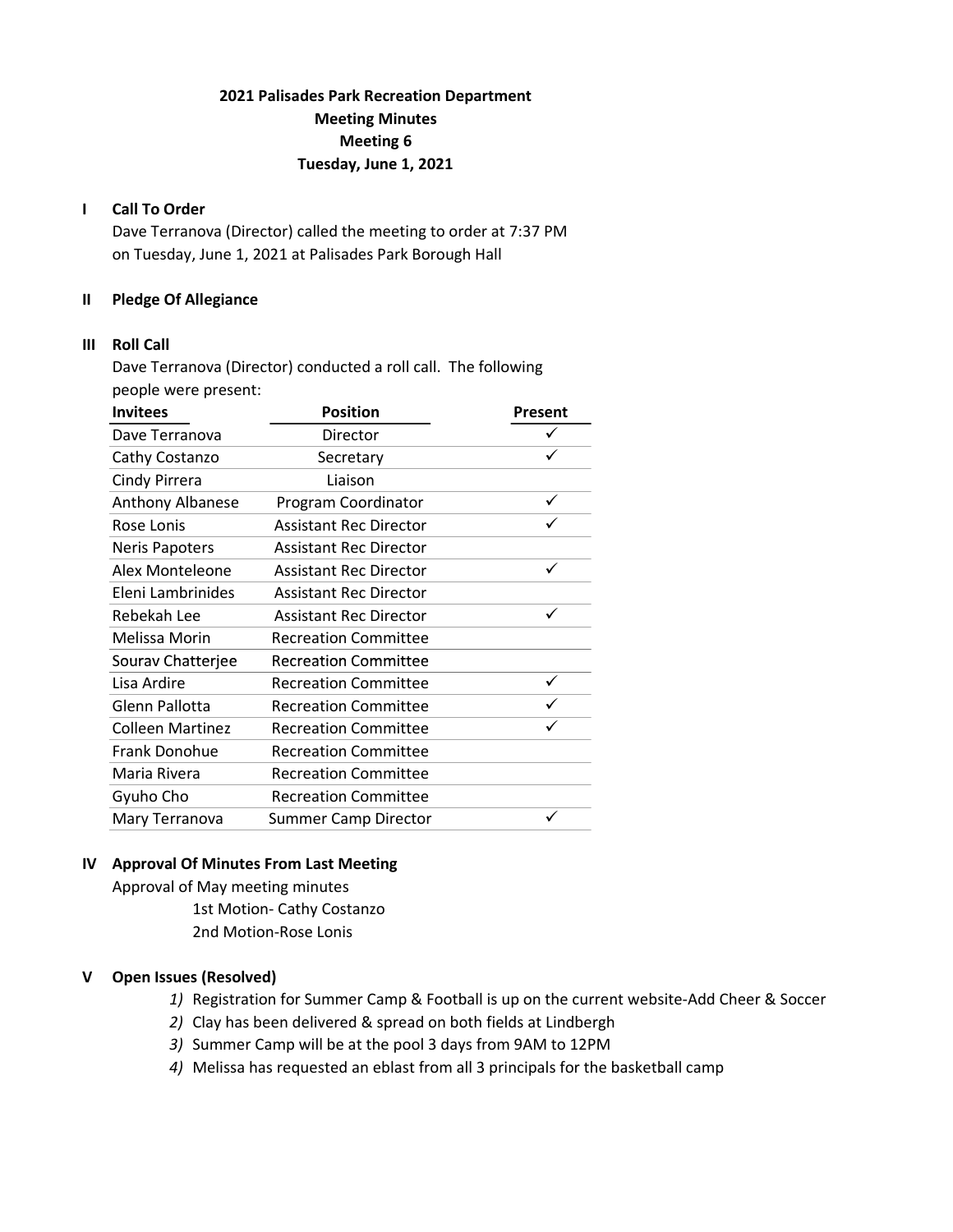# 2021 Palisades Park Recreation Department Meeting Minutes Meeting 6 Tuesday, June 1, 2021

### I Call To Order

Dave Terranova (Director) called the meeting to order at 7:37 PM on Tuesday, June 1, 2021 at Palisades Park Borough Hall

## II Pledge Of Allegiance

### III Roll Call

Dave Terranova (Director) conducted a roll call. The following people were present:

| <b>Invitees</b>         | <b>Position</b>               | Present |
|-------------------------|-------------------------------|---------|
| Dave Terranova          | Director                      |         |
| Cathy Costanzo          | Secretary                     |         |
| Cindy Pirrera           | Liaison                       |         |
| <b>Anthony Albanese</b> | Program Coordinator           |         |
| Rose Lonis              | <b>Assistant Rec Director</b> |         |
| <b>Neris Papoters</b>   | <b>Assistant Rec Director</b> |         |
| Alex Monteleone         | <b>Assistant Rec Director</b> |         |
| Eleni Lambrinides       | <b>Assistant Rec Director</b> |         |
| Rebekah Lee             | <b>Assistant Rec Director</b> |         |
| Melissa Morin           | <b>Recreation Committee</b>   |         |
| Sourav Chatterjee       | <b>Recreation Committee</b>   |         |
| Lisa Ardire             | <b>Recreation Committee</b>   |         |
| Glenn Pallotta          | <b>Recreation Committee</b>   |         |
| Colleen Martinez        | <b>Recreation Committee</b>   |         |
| <b>Frank Donohue</b>    | <b>Recreation Committee</b>   |         |
| Maria Rivera            | <b>Recreation Committee</b>   |         |
| Gyuho Cho               | <b>Recreation Committee</b>   |         |
| Mary Terranova          | <b>Summer Camp Director</b>   |         |

### IV Approval Of Minutes From Last Meeting

Approval of May meeting minutes 1st Motion- Cathy Costanzo 2nd Motion-Rose Lonis

### V Open Issues (Resolved)

- 1) Registration for Summer Camp & Football is up on the current website-Add Cheer & Soccer
- 2) Clay has been delivered & spread on both fields at Lindbergh
- 3) Summer Camp will be at the pool 3 days from 9AM to 12PM
- 4) Melissa has requested an eblast from all 3 principals for the basketball camp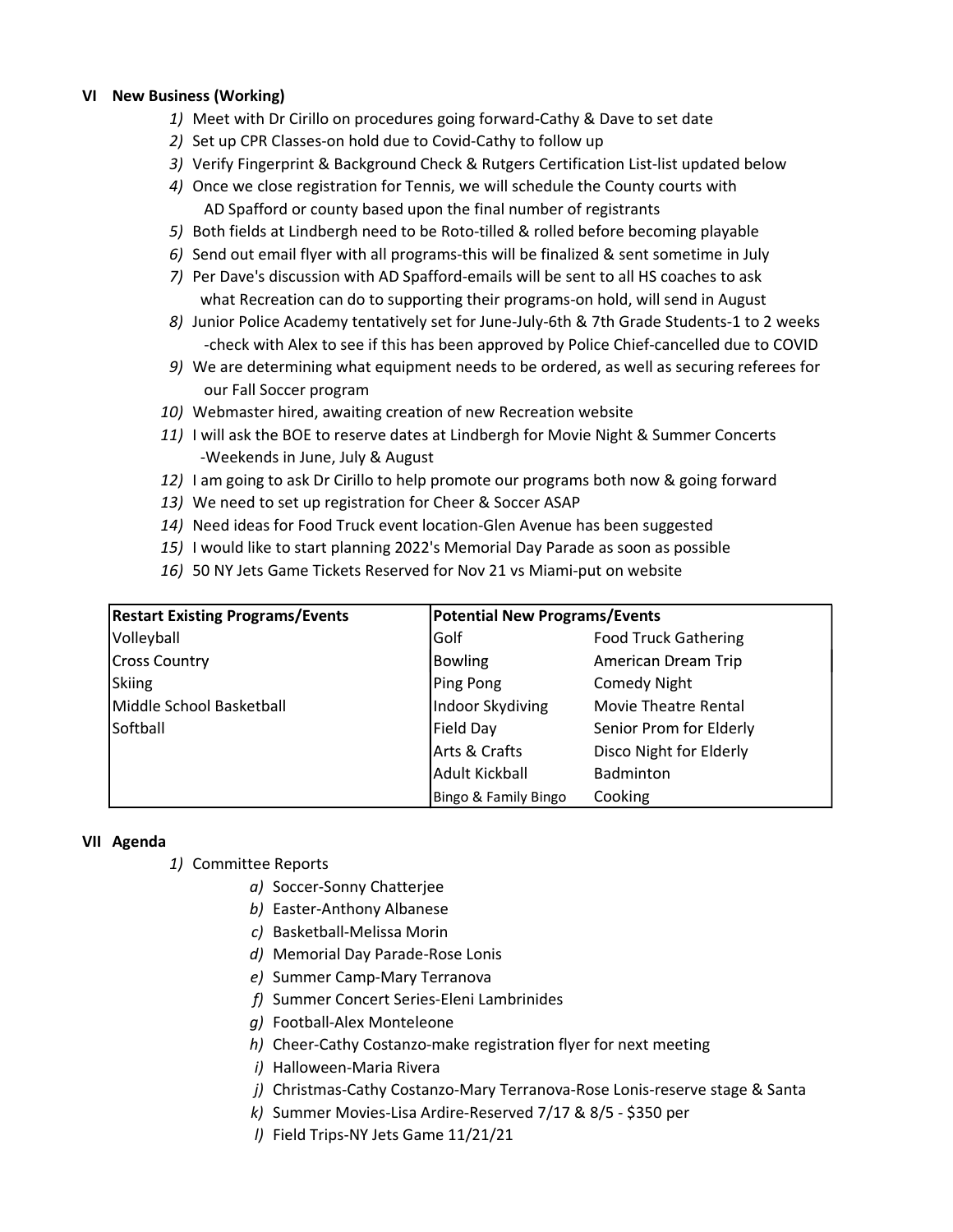### VI New Business (Working)

- 1) Meet with Dr Cirillo on procedures going forward-Cathy & Dave to set date
- 2) Set up CPR Classes-on hold due to Covid-Cathy to follow up
- 3) Verify Fingerprint & Background Check & Rutgers Certification List-list updated below
- 4) Once we close registration for Tennis, we will schedule the County courts with AD Spafford or county based upon the final number of registrants
- 5) Both fields at Lindbergh need to be Roto-tilled & rolled before becoming playable
- 6) Send out email flyer with all programs-this will be finalized & sent sometime in July
- 7) Per Dave's discussion with AD Spafford-emails will be sent to all HS coaches to ask what Recreation can do to supporting their programs-on hold, will send in August
- 8) Junior Police Academy tentatively set for June-July-6th & 7th Grade Students-1 to 2 weeks -check with Alex to see if this has been approved by Police Chief-cancelled due to COVID
- 9) We are determining what equipment needs to be ordered, as well as securing referees for our Fall Soccer program
- 10) Webmaster hired, awaiting creation of new Recreation website
- 11) I will ask the BOE to reserve dates at Lindbergh for Movie Night & Summer Concerts -Weekends in June, July & August
- 12) I am going to ask Dr Cirillo to help promote our programs both now & going forward
- 13) We need to set up registration for Cheer & Soccer ASAP
- 14) Need ideas for Food Truck event location-Glen Avenue has been suggested
- 15) I would like to start planning 2022's Memorial Day Parade as soon as possible
- 16) 50 NY Jets Game Tickets Reserved for Nov 21 vs Miami-put on website

| <b>Restart Existing Programs/Events</b> | Potential New Programs/Events |                             |
|-----------------------------------------|-------------------------------|-----------------------------|
| Volleyball                              | Golf                          | <b>Food Truck Gathering</b> |
| <b>Cross Country</b>                    | <b>Bowling</b>                | American Dream Trip         |
| Skiing                                  | Ping Pong                     | <b>Comedy Night</b>         |
| Middle School Basketball                | Indoor Skydiving              | Movie Theatre Rental        |
| Softball                                | Field Day                     | Senior Prom for Elderly     |
|                                         | Arts & Crafts                 | Disco Night for Elderly     |
|                                         | Adult Kickball                | Badminton                   |
|                                         | Bingo & Family Bingo          | Cooking                     |

### VII Agenda

- 1) Committee Reports
	- a) Soccer-Sonny Chatterjee
	- b) Easter-Anthony Albanese
	- c) Basketball-Melissa Morin
	- d) Memorial Day Parade-Rose Lonis
	- e) Summer Camp-Mary Terranova
	- f) Summer Concert Series-Eleni Lambrinides
	- g) Football-Alex Monteleone
	- h) Cheer-Cathy Costanzo-make registration flyer for next meeting
	- i) Halloween-Maria Rivera
	- j) Christmas-Cathy Costanzo-Mary Terranova-Rose Lonis-reserve stage & Santa
	- k) Summer Movies-Lisa Ardire-Reserved 7/17 & 8/5 \$350 per
	- l) Field Trips-NY Jets Game 11/21/21